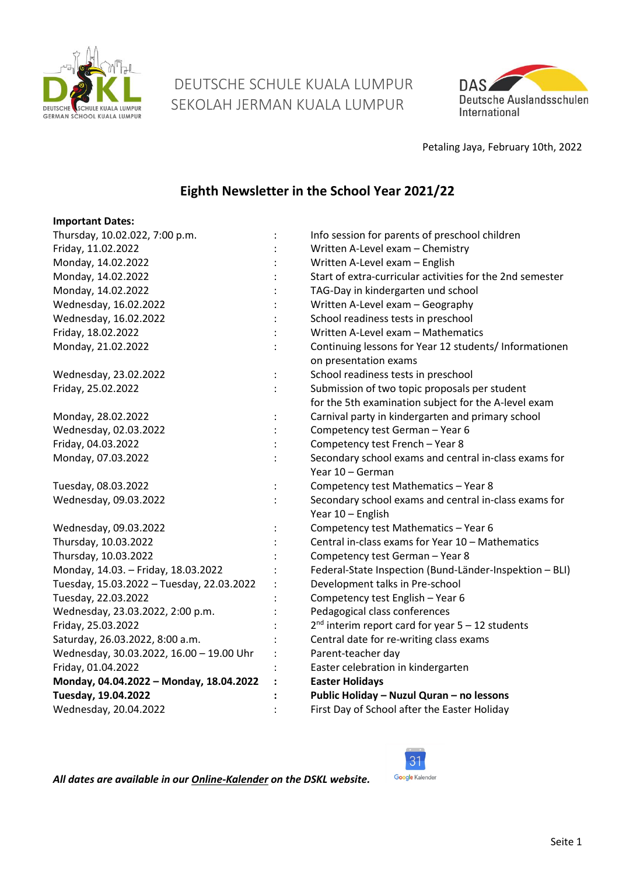

# DEUTSCHE SCHULE KUALA LUMPUR SEKOLAH JERMAN KUALA LUMPUR



Petaling Jaya, February 10th, 2022

# **Eighth Newsletter in the School Year 2021/22**

#### **Important Dates:**

| Thursday, 10.02.022, 7:00 p.m.            | Info session for parents of preschool children            |
|-------------------------------------------|-----------------------------------------------------------|
| Friday, 11.02.2022                        | Written A-Level exam - Chemistry                          |
| Monday, 14.02.2022                        | Written A-Level exam - English                            |
| Monday, 14.02.2022                        | Start of extra-curricular activities for the 2nd semester |
| Monday, 14.02.2022                        | TAG-Day in kindergarten und school                        |
| Wednesday, 16.02.2022                     | Written A-Level exam - Geography                          |
| Wednesday, 16.02.2022                     | School readiness tests in preschool                       |
| Friday, 18.02.2022                        | Written A-Level exam - Mathematics                        |
| Monday, 21.02.2022                        | Continuing lessons for Year 12 students/ Informationen    |
|                                           | on presentation exams                                     |
| Wednesday, 23.02.2022                     | School readiness tests in preschool                       |
| Friday, 25.02.2022                        | Submission of two topic proposals per student             |
|                                           | for the 5th examination subject for the A-level exam      |
| Monday, 28.02.2022                        | Carnival party in kindergarten and primary school         |
| Wednesday, 02.03.2022                     | Competency test German - Year 6                           |
| Friday, 04.03.2022                        | Competency test French - Year 8                           |
| Monday, 07.03.2022                        | Secondary school exams and central in-class exams for     |
|                                           | Year 10 - German                                          |
| Tuesday, 08.03.2022                       | Competency test Mathematics - Year 8                      |
| Wednesday, 09.03.2022                     | Secondary school exams and central in-class exams for     |
|                                           | Year 10 - English                                         |
| Wednesday, 09.03.2022                     | Competency test Mathematics - Year 6                      |
| Thursday, 10.03.2022                      | Central in-class exams for Year 10 - Mathematics          |
| Thursday, 10.03.2022                      | Competency test German - Year 8                           |
| Monday, 14.03. - Friday, 18.03.2022       | Federal-State Inspection (Bund-Länder-Inspektion - BLI)   |
| Tuesday, 15.03.2022 - Tuesday, 22.03.2022 | Development talks in Pre-school                           |
| Tuesday, 22.03.2022                       | Competency test English - Year 6                          |
| Wednesday, 23.03.2022, 2:00 p.m.          | Pedagogical class conferences                             |
| Friday, 25.03.2022                        | $2^{nd}$ interim report card for year $5 - 12$ students   |
| Saturday, 26.03.2022, 8:00 a.m.           | Central date for re-writing class exams                   |
| Wednesday, 30.03.2022, 16.00 - 19.00 Uhr  | Parent-teacher day                                        |
| Friday, 01.04.2022                        | Easter celebration in kindergarten                        |
| Monday, 04.04.2022 - Monday, 18.04.2022   | <b>Easter Holidays</b>                                    |
| Tuesday, 19.04.2022                       | Public Holiday - Nuzul Quran - no lessons                 |
| Wednesday, 20.04.2022                     | First Day of School after the Easter Holiday              |
|                                           |                                                           |

*All dates are available in our [Online-Kalender](https://www.dskl.edu.my/kalender/) on the DSKL website.* 

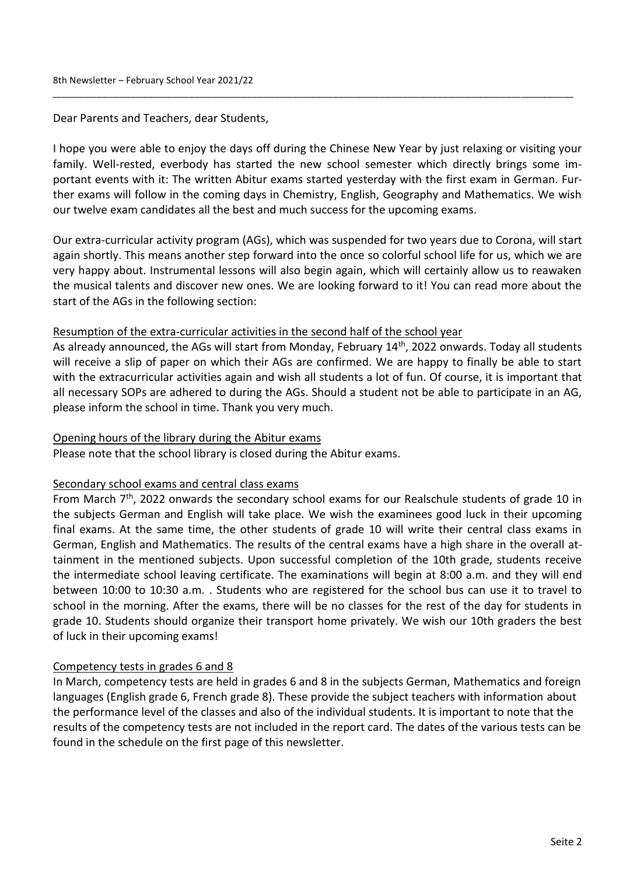Dear Parents and Teachers, dear Students,

I hope you were able to enjoy the days off during the Chinese New Year by just relaxing or visiting your family. Well-rested, everbody has started the new school semester which directly brings some important events with it: The written Abitur exams started yesterday with the first exam in German. Further exams will follow in the coming days in Chemistry, English, Geography and Mathematics. We wish our twelve exam candidates all the best and much success for the upcoming exams.

\_\_\_\_\_\_\_\_\_\_\_\_\_\_\_\_\_\_\_\_\_\_\_\_\_\_\_\_\_\_\_\_\_\_\_\_\_\_\_\_\_\_\_\_\_\_\_\_\_\_\_\_\_\_\_\_\_\_\_\_\_\_\_\_\_\_\_\_\_\_\_\_\_\_\_\_\_\_\_\_\_\_\_\_\_\_\_\_\_\_

Our extra-curricular activity program (AGs), which was suspended for two years due to Corona, will start again shortly. This means another step forward into the once so colorful school life for us, which we are very happy about. Instrumental lessons will also begin again, which will certainly allow us to reawaken the musical talents and discover new ones. We are looking forward to it! You can read more about the start of the AGs in the following section:

# Resumption of the extra-curricular activities in the second half of the school year

As already announced, the AGs will start from Monday, February 14<sup>th</sup>, 2022 onwards. Today all students will receive a slip of paper on which their AGs are confirmed. We are happy to finally be able to start with the extracurricular activities again and wish all students a lot of fun. Of course, it is important that all necessary SOPs are adhered to during the AGs. Should a student not be able to participate in an AG, please inform the school in time. Thank you very much.

#### Opening hours of the library during the Abitur exams

Please note that the school library is closed during the Abitur exams.

# Secondary school exams and central class exams

From March 7<sup>th</sup>, 2022 onwards the secondary school exams for our Realschule students of grade 10 in the subjects German and English will take place. We wish the examinees good luck in their upcoming final exams. At the same time, the other students of grade 10 will write their central class exams in German, English and Mathematics. The results of the central exams have a high share in the overall attainment in the mentioned subjects. Upon successful completion of the 10th grade, students receive the intermediate school leaving certificate. The examinations will begin at 8:00 a.m. and they will end between 10:00 to 10:30 a.m. . Students who are registered for the school bus can use it to travel to school in the morning. After the exams, there will be no classes for the rest of the day for students in grade 10. Students should organize their transport home privately. We wish our 10th graders the best of luck in their upcoming exams!

# Competency tests in grades 6 and 8

In March, competency tests are held in grades 6 and 8 in the subjects German, Mathematics and foreign languages (English grade 6, French grade 8). These provide the subject teachers with information about the performance level of the classes and also of the individual students. It is important to note that the results of the competency tests are not included in the report card. The dates of the various tests can be found in the schedule on the first page of this newsletter.